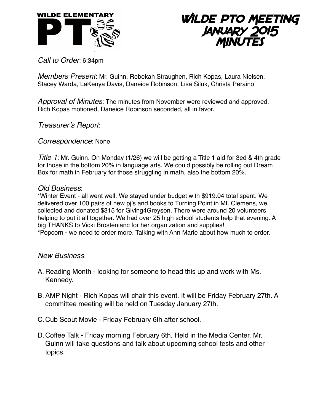



*Call to Order*: 6:34pm

*Members Present*: Mr. Guinn, Rebekah Straughen, Rich Kopas, Laura Nielsen, Stacey Warda, LaKenya Davis, Daneice Robinson, Lisa Siluk, Christa Peraino

*Approval of Minutes*: The minutes from November were reviewed and approved. Rich Kopas motioned, Daneice Robinson seconded, all in favor.

*Treasurer's Report*:

*Correspondence*: None

*Title 1*: Mr. Guinn. On Monday (1/26) we will be getting a Title 1 aid for 3ed & 4th grade for those in the bottom 20% in language arts. We could possibly be rolling out Dream Box for math in February for those struggling in math, also the bottom 20%.

## *Old Business*:

\*Winter Event - all went well. We stayed under budget with \$919.04 total spent. We delivered over 100 pairs of new pj's and books to Turning Point in Mt. Clemens, we collected and donated \$315 for Giving4Greyson. There were around 20 volunteers helping to put it all together. We had over 25 high school students help that evening. A big THANKS to Vicki Brostenianc for her organization and supplies! \*Popcorn - we need to order more. Talking with Ann Marie about how much to order.

## *New Business*:

- A. Reading Month looking for someone to head this up and work with Ms. Kennedy.
- B. AMP Night Rich Kopas will chair this event. It will be Friday February 27th. A committee meeting will be held on Tuesday January 27th.
- C.Cub Scout Movie Friday February 6th after school.
- D.Coffee Talk Friday morning February 6th. Held in the Media Center. Mr. Guinn will take questions and talk about upcoming school tests and other topics.